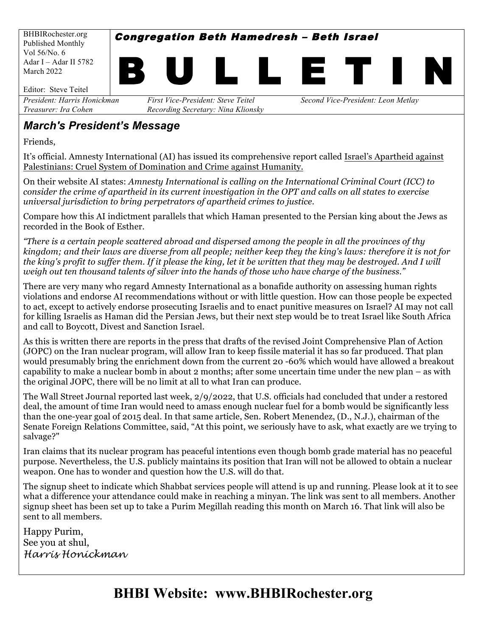BHBIRochester.org Published Monthly Vol 56/No. 6 Adar I – Adar II 5782 March 2022

Congregation Beth Hamedresh – Beth Israel



*President: Harris Honickman First Vice-President: Steve Teitel Second Vice-President: Leon Metlay Treasurer: Ira Cohen Recording Secretary: Nina Klionsky*

### *March's President's Message*

Friends,

It's official. Amnesty International (AI) has issued its comprehensive report called Israel's Apartheid against Palestinians: Cruel System of Domination and Crime against Humanity.

On their website AI states: *Amnesty International is calling on the International Criminal Court (ICC) to consider the crime of apartheid in its current investigation in the OPT and calls on all states to exercise universal jurisdiction to bring perpetrators of apartheid crimes to justice*.

Compare how this AI indictment parallels that which Haman presented to the Persian king about the Jews as recorded in the Book of Esther.

*"There is a certain people scattered abroad and dispersed among the people in all the provinces of thy kingdom; and their laws are diverse from all people; neither keep they the king's laws: therefore it is not for the king's profit to suffer them. If it please the king, let it be written that they may be destroyed. And I will weigh out ten thousand talents of silver into the hands of those who have charge of the business."*

There are very many who regard Amnesty International as a bonafide authority on assessing human rights violations and endorse AI recommendations without or with little question. How can those people be expected to act, except to actively endorse prosecuting Israelis and to enact punitive measures on Israel? AI may not call for killing Israelis as Haman did the Persian Jews, but their next step would be to treat Israel like South Africa and call to Boycott, Divest and Sanction Israel.

As this is written there are reports in the press that drafts of the revised Joint Comprehensive Plan of Action (JOPC) on the Iran nuclear program, will allow Iran to keep fissile material it has so far produced. That plan would presumably bring the enrichment down from the current 20 -60% which would have allowed a breakout capability to make a nuclear bomb in about 2 months; after some uncertain time under the new plan – as with the original JOPC, there will be no limit at all to what Iran can produce.

The Wall Street Journal reported last week, 2/9/2022, that U.S. officials had concluded that under a restored deal, the amount of time Iran would need to amass enough nuclear fuel for a bomb would be significantly less than the one-year goal of 2015 deal. In that same article, Sen. Robert Menendez, (D., N.J.), chairman of the Senate Foreign Relations Committee, said, "At this point, we seriously have to ask, what exactly are we trying to salvage?"

Iran claims that its nuclear program has peaceful intentions even though bomb grade material has no peaceful purpose. Nevertheless, the U.S. publicly maintains its position that Iran will not be allowed to obtain a nuclear weapon. One has to wonder and question how the U.S. will do that.

The signup sheet to indicate which Shabbat services people will attend is up and running. Please look at it to see what a difference your attendance could make in reaching a minyan. The link was sent to all members. Another signup sheet has been set up to take a Purim Megillah reading this month on March 16. That link will also be sent to all members.

Happy Purim, See you at shul, *Harris Honickman*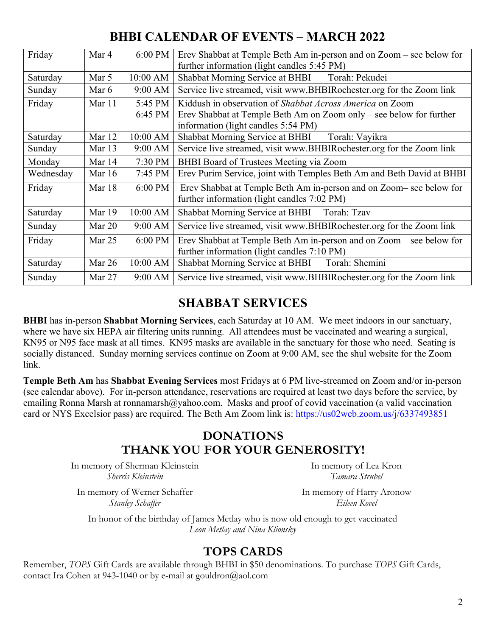## **BHBI CALENDAR OF EVENTS – MARCH 2022**

| Friday    | Mar 4    | 6:00 PM           | Erev Shabbat at Temple Beth Am in-person and on Zoom – see below for<br>further information (light candles 5:45 PM) |  |  |  |
|-----------|----------|-------------------|---------------------------------------------------------------------------------------------------------------------|--|--|--|
| Saturday  | Mar 5    | 10:00 AM          | Shabbat Morning Service at BHBI<br>Torah: Pekudei                                                                   |  |  |  |
| Sunday    | Mar 6    | $9:00 \text{ AM}$ | Service live streamed, visit www.BHBIRochester.org for the Zoom link                                                |  |  |  |
| Friday    | Mar 11   | 5:45 PM           | Kiddush in observation of <i>Shabbat Across America</i> on Zoom                                                     |  |  |  |
|           |          | 6:45 PM           | Erev Shabbat at Temple Beth Am on Zoom only – see below for further                                                 |  |  |  |
|           |          |                   | information (light candles 5:54 PM)                                                                                 |  |  |  |
| Saturday  | Mar 12   | $10:00$ AM        | Shabbat Morning Service at BHBI<br>Torah: Vayikra                                                                   |  |  |  |
| Sunday    | Mar 13   | $9:00$ AM         | Service live streamed, visit www.BHBIRochester.org for the Zoom link                                                |  |  |  |
| Monday    | Mar 14   | 7:30 PM           | BHBI Board of Trustees Meeting via Zoom                                                                             |  |  |  |
| Wednesday | Mar $16$ | 7:45 PM           | Erev Purim Service, joint with Temples Beth Am and Beth David at BHBI                                               |  |  |  |
| Friday    | Mar 18   | 6:00 PM           | Erev Shabbat at Temple Beth Am in-person and on Zoom-see below for                                                  |  |  |  |
|           |          |                   | further information (light candles 7:02 PM)                                                                         |  |  |  |
| Saturday  | Mar 19   | 10:00 AM          | Shabbat Morning Service at BHBI Torah: Tzav                                                                         |  |  |  |
| Sunday    | Mar $20$ | $9:00 \text{ AM}$ | Service live streamed, visit www.BHBIRochester.org for the Zoom link                                                |  |  |  |
| Friday    | Mar $25$ | 6:00 PM           | Erev Shabbat at Temple Beth Am in-person and on Zoom – see below for                                                |  |  |  |
|           |          |                   | further information (light candles 7:10 PM)                                                                         |  |  |  |
| Saturday  | Mar 26   | 10:00 AM          | Shabbat Morning Service at BHBI Torah: Shemini                                                                      |  |  |  |
| Sunday    | Mar 27   | 9:00 AM           | Service live streamed, visit www.BHBIRochester.org for the Zoom link                                                |  |  |  |

### **SHABBAT SERVICES**

**BHBI** has in-person **Shabbat Morning Services**, each Saturday at 10 AM. We meet indoors in our sanctuary, where we have six HEPA air filtering units running. All attendees must be vaccinated and wearing a surgical, KN95 or N95 face mask at all times. KN95 masks are available in the sanctuary for those who need. Seating is socially distanced. Sunday morning services continue on Zoom at 9:00 AM, see the shul website for the Zoom link.

**Temple Beth Am** has **Shabbat Evening Services** most Fridays at 6 PM live-streamed on Zoom and/or in-person (see calendar above). For in-person attendance, reservations are required at least two days before the service, by emailing Ronna Marsh at ronnamarsh@yahoo.com. Masks and proof of covid vaccination (a valid vaccination card or NYS Excelsior pass) are required. The Beth Am Zoom link is: https://us02web.zoom.us/j/6337493851

### **DONATIONS THANK YOU FOR YOUR GENEROSITY!**

In memory of Sherman Kleinstein *Sherris Kleinstein*

In memory of Lea Kron *Tamara Strubel*

In memory of Werner Schaffer *Stanley Schaffer*

In memory of Harry Aronow *Eileen Kovel*

In honor of the birthday of James Metlay who is now old enough to get vaccinated *Leon Metlay and Nina Klionsky*

### **TOPS CARDS**

Remember, *TOPS* Gift Cards are available through BHBI in \$50 denominations. To purchase *TOPS* Gift Cards, contact Ira Cohen at 943-1040 or by e-mail at gouldron@aol.com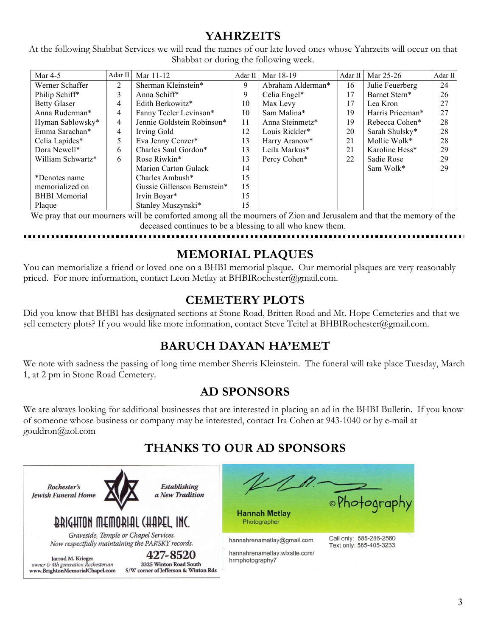## **YAHRZEITS**

At the following Shabbat Services we will read the names of our late loved ones whose Yahrzeits will occur on that Shabbat or during the following week.

| Mar $4-5$            | $Adar$ II                             | Mar 11-12                   | Adar II | Mar 18-19         | Adar II | Mar 25-26        | Adar II |
|----------------------|---------------------------------------|-----------------------------|---------|-------------------|---------|------------------|---------|
| Werner Schaffer      | Sherman Kleinstein*<br>$\overline{2}$ |                             | 9       | Abraham Alderman* | 16      | Julie Feuerberg  | 24      |
| Philip Schiff*       | 3                                     | Anna Schiff*                | 9       | Celia Engel*      | 17      | Barnet Stern*    | 26      |
| <b>Betty Glaser</b>  | $\overline{4}$                        | Edith Berkowitz*            | 10      | Max Levy          | 17      | Lea Kron         | 27      |
| Anna Ruderman*       | 4                                     | Fanny Tecler Levinson*      | 10      | Sam Malina*       | 19      | Harris Priceman* | 27      |
| Hyman Sablowsky*     | 4                                     | Jennie Goldstein Robinson*  | 11      | Anna Steinmetz*   | 19      | Rebecca Cohen*   | 28      |
| Emma Sarachan*       | $\overline{4}$                        | Irving Gold                 | 12      | Louis Rickler*    | 20      | Sarah Shulsky*   | 28      |
| Celia Lapides*       | 5                                     | Eva Jenny Cenzer*           | 13      | Harry Aranow*     | 21      | Mollie Wolk*     | 28      |
| Dora Newell*         | 6                                     | Charles Saul Gordon*        | 13      | Leila Markus*     | 21      | Karoline Hess*   | 29      |
| William Schwartz*    | 6                                     | Rose Riwkin*                | 13      | Percy Cohen*      | 22      | Sadie Rose       | 29      |
|                      |                                       | Marion Carton Gulack        | 14      |                   |         | Sam Wolk*        | 29      |
| *Denotes name        |                                       | Charles Ambush*             | 15      |                   |         |                  |         |
| memorialized on      |                                       | Gussie Gillenson Bernstein* | 15      |                   |         |                  |         |
| <b>BHBI</b> Memorial |                                       | Irvin Boyar*                | 15      |                   |         |                  |         |
| Plaque               |                                       | Stanley Muszynski*          | 15      |                   |         |                  |         |

We pray that our mourners will be comforted among all the mourners of Zion and Jerusalem and that the memory of the deceased continues to be a blessing to all who knew them.

### **MEMORIAL PLAQUES**

You can memorialize a friend or loved one on a BHBI memorial plaque. Our memorial plaques are very reasonably priced. For more information, contact Leon Metlay at BHBIRochester@gmail.com.

### **CEMETERY PLOTS**

Did you know that BHBI has designated sections at Stone Road, Britten Road and Mt. Hope Cemeteries and that we sell cemetery plots? If you would like more information, contact Steve Teitel at BHBIRochester@gmail.com.

## **BARUCH DAYAN HA'EMET**

We note with sadness the passing of long time member Sherris Kleinstein. The funeral will take place Tuesday, March 1, at 2 pm in Stone Road Cemetery.

## **AD SPONSORS**

We are always looking for additional businesses that are interested in placing an ad in the BHBI Bulletin. If you know of someone whose business or company may be interested, contact Ira Cohen at 943-1040 or by e-mail at gouldron@aol.com

# **THANKS TO OUR AD SPONSORS**